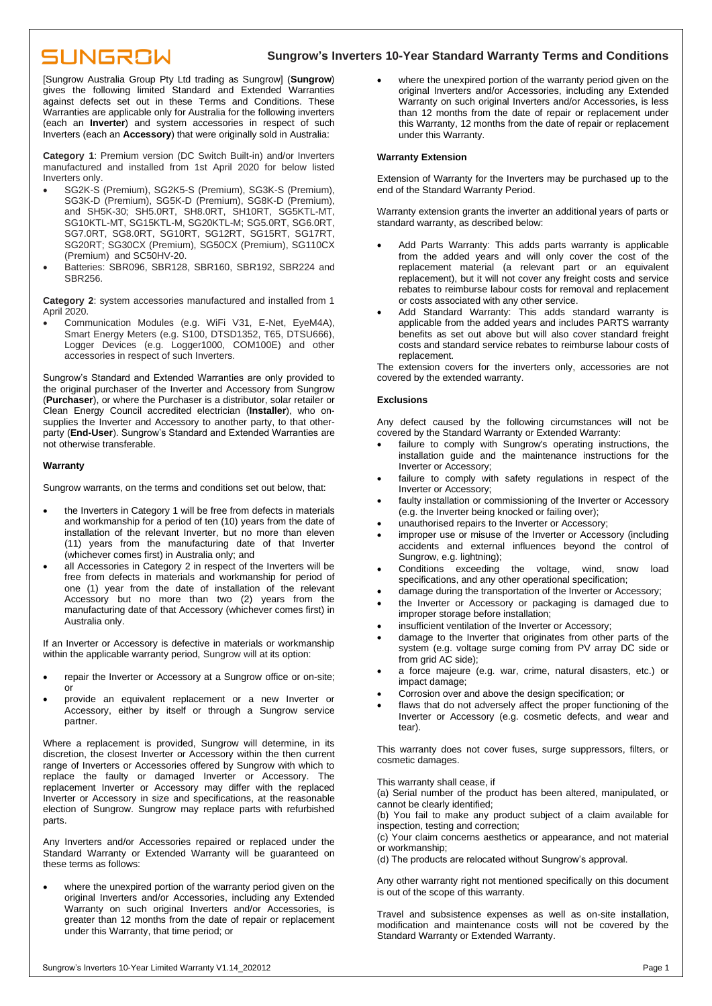# **SUNGROW**

# **Sungrow's Inverters 10-Year Standard Warranty Terms and Conditions**

[Sungrow Australia Group Pty Ltd trading as Sungrow] (**Sungrow**) gives the following limited Standard and Extended Warranties against defects set out in these Terms and Conditions. These Warranties are applicable only for Australia for the following inverters (each an **Inverter**) and system accessories in respect of such Inverters (each an **Accessory**) that were originally sold in Australia:

**Category 1**: Premium version (DC Switch Built-in) and/or Inverters manufactured and installed from 1st April 2020 for below listed Inverters only.

- SG2K-S (Premium), SG2K5-S (Premium), SG3K-S (Premium), SG3K-D (Premium), SG5K-D (Premium), SG8K-D (Premium), and SH5K-30; SH5.0RT, SH8.0RT, SH10RT, SG5KTL-MT, SG10KTL-MT, SG15KTL-M, SG20KTL-M; SG5.0RT, SG6.0RT, SG7.0RT, SG8.0RT, SG10RT, SG12RT, SG15RT, SG17RT, SG20RT; SG30CX (Premium), SG50CX (Premium), SG110CX (Premium) and SC50HV-20.
- Batteries: SBR096, SBR128, SBR160, SBR192, SBR224 and SBR256.

**Category 2**: system accessories manufactured and installed from 1 April 2020.

• Communication Modules (e.g. WiFi V31, E-Net, EyeM4A), Smart Energy Meters (e.g. S100, DTSD1352, T65, DTSU666), Logger Devices (e.g. Logger1000, COM100E) and other accessories in respect of such Inverters.

Sungrow's Standard and Extended Warranties are only provided to the original purchaser of the Inverter and Accessory from Sungrow (**Purchaser**), or where the Purchaser is a distributor, solar retailer or Clean Energy Council accredited electrician (**Installer**), who onsupplies the Inverter and Accessory to another party, to that otherparty (**End-User**). Sungrow's Standard and Extended Warranties are not otherwise transferable.

# **Warranty**

Sungrow warrants, on the terms and conditions set out below, that:

- the Inverters in Category 1 will be free from defects in materials and workmanship for a period of ten (10) years from the date of installation of the relevant Inverter, but no more than eleven (11) years from the manufacturing date of that Inverter (whichever comes first) in Australia only; and
- all Accessories in Category 2 in respect of the Inverters will be free from defects in materials and workmanship for period of one (1) year from the date of installation of the relevant Accessory but no more than two (2) years from the manufacturing date of that Accessory (whichever comes first) in Australia only.

If an Inverter or Accessory is defective in materials or workmanship within the applicable warranty period, Sungrow will at its option:

- repair the Inverter or Accessory at a Sungrow office or on-site; or
- provide an equivalent replacement or a new Inverter or Accessory, either by itself or through a Sungrow service partner.

Where a replacement is provided, Sungrow will determine, in its discretion, the closest Inverter or Accessory within the then current range of Inverters or Accessories offered by Sungrow with which to replace the faulty or damaged Inverter or Accessory. The replacement Inverter or Accessory may differ with the replaced Inverter or Accessory in size and specifications, at the reasonable election of Sungrow. Sungrow may replace parts with refurbished parts.

Any Inverters and/or Accessories repaired or replaced under the Standard Warranty or Extended Warranty will be guaranteed on these terms as follows:

where the unexpired portion of the warranty period given on the original Inverters and/or Accessories, including any Extended Warranty on such original Inverters and/or Accessories, is greater than 12 months from the date of repair or replacement under this Warranty, that time period; or

where the unexpired portion of the warranty period given on the original Inverters and/or Accessories, including any Extended Warranty on such original Inverters and/or Accessories, is less than 12 months from the date of repair or replacement under this Warranty, 12 months from the date of repair or replacement under this Warranty.

### **Warranty Extension**

Extension of Warranty for the Inverters may be purchased up to the end of the Standard Warranty Period.

Warranty extension grants the inverter an additional years of parts or standard warranty, as described below:

- Add Parts Warranty: This adds parts warranty is applicable from the added years and will only cover the cost of the replacement material (a relevant part or an equivalent replacement), but it will not cover any freight costs and service rebates to reimburse labour costs for removal and replacement or costs associated with any other service.
- Add Standard Warranty: This adds standard warranty is applicable from the added years and includes PARTS warranty benefits as set out above but will also cover standard freight costs and standard service rebates to reimburse labour costs of replacement.

The extension covers for the inverters only, accessories are not covered by the extended warranty.

### **Exclusions**

Any defect caused by the following circumstances will not be covered by the Standard Warranty or Extended Warranty:

- failure to comply with Sungrow's operating instructions, the installation guide and the maintenance instructions for the Inverter or Accessory;
- failure to comply with safety regulations in respect of the Inverter or Accessory;
- faulty installation or commissioning of the Inverter or Accessory (e.g. the Inverter being knocked or failing over);
- unauthorised repairs to the Inverter or Accessory;
- improper use or misuse of the Inverter or Accessory (including accidents and external influences beyond the control of Sungrow, e.g. lightning);
- Conditions exceeding the voltage, wind, snow load specifications, and any other operational specification;
- damage during the transportation of the Inverter or Accessory;
- the Inverter or Accessory or packaging is damaged due to improper storage before installation;
- insufficient ventilation of the Inverter or Accessory;
- damage to the Inverter that originates from other parts of the system (e.g. voltage surge coming from PV array DC side or from grid AC side);
- a force majeure (e.g. war, crime, natural disasters, etc.) or impact damage;
- Corrosion over and above the design specification; or
- flaws that do not adversely affect the proper functioning of the Inverter or Accessory (e.g. cosmetic defects, and wear and tear).

This warranty does not cover fuses, surge suppressors, filters, or cosmetic damages.

This warranty shall cease, if

(a) Serial number of the product has been altered, manipulated, or cannot be clearly identified;

(b) You fail to make any product subject of a claim available for inspection, testing and correction;

(c) Your claim concerns aesthetics or appearance, and not material or workmanship;

(d) The products are relocated without Sungrow's approval.

Any other warranty right not mentioned specifically on this document is out of the scope of this warranty.

Travel and subsistence expenses as well as on-site installation, modification and maintenance costs will not be covered by the Standard Warranty or Extended Warranty.